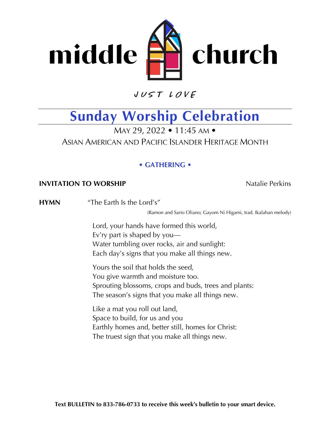

 $VUSTLOVE$ 

## **Sunday Worship Celebration**

MAY 29, 2022 • 11:45 AM • ASIAN AMERICAN AND PACIFIC ISLANDER HERITAGE MONTH

## **• GATHERING •**

## **INVITATION TO WORSHIP** Natalie Perkins

**HYMN** "The Earth Is the Lord's"

(Ramon and Sario Oliano; Gayom Ni Higami, trad. Ikalahan melody)

Lord, your hands have formed this world, Ev'ry part is shaped by you— Water tumbling over rocks, air and sunlight: Each day's signs that you make all things new.

Yours the soil that holds the seed, You give warmth and moisture too. Sprouting blossoms, crops and buds, trees and plants: The season's signs that you make all things new.

Like a mat you roll out land, Space to build, for us and you Earthly homes and, better still, homes for Christ: The truest sign that you make all things new.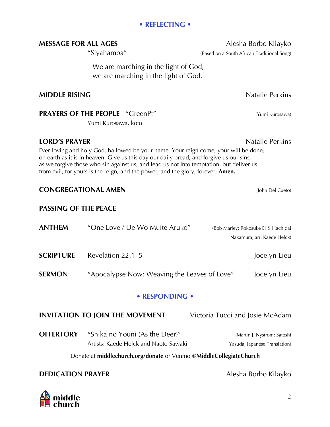### **• REFLECTING •**

## **MESSAGE FOR ALL AGES** Alesha Borbo Kilayko

We are marching in the light of God, we are marching in the light of God.

### **MIDDLE RISING** Natalie Perkins

## **PRAYERS OF THE PEOPLE** "GreenPt" (Yumi Kurosawa)

Yumi Kurosawa, koto

## **LORD'S PRAYER Natalie Perkins**

Ever-loving and holy God, hallowed be your name. Your reign come, your will be done, on earth as it is in heaven. Give us this day our daily bread, and forgive us our sins, as we forgive those who sin against us, and lead us not into temptation, but deliver us from evil, for yours is the reign, and the power, and the glory, forever. **Amen.**

## **CONGREGATIONAL AMEN** (John Del Cueto)

### **PASSING OF THE PEACE**

- **ANTHEM** "One Love / Ue Wo Muite Aruko" (Bob Marley; Rokosuke Ei & Hachidai Nakamura, arr. Kaede Helck)
- **SCRIPTURE** Revelation 22.1–5 Jocelyn Lieu
- **SERMON** "Apocalypse Now: Weaving the Leaves of Love" Jocelyn Lieu

### **• RESPONDING •**

## **INVITATION TO JOIN THE MOVEMENT** Victoria Tucci and Josie McAdam

**OFFERTORY** "Shika no Youni (As the Deer)" (Martin J. Nystrom; Satoshi Artists: Kaede Helck and Naoto Sawaki Yasuda, Japanese Translation)

Donate at **middlechurch.org/donate** or Venmo **[@MiddleCollegiateChurch](https://www.middlechurch.org/donate/)**

## **DEDICATION PRAYER** Alesha Borbo Kilayko



"Siyahamba" (Based on a South African Traditional Song)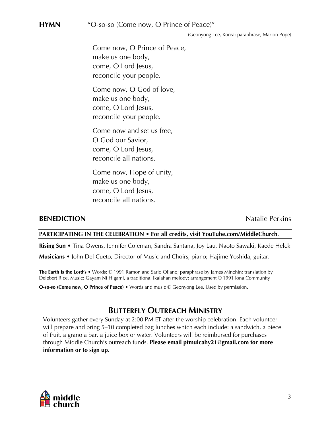**HYMN** "O-so-so (Come now, O Prince of Peace)"

(Geonyong Lee, Korea; paraphrase, Marion Pope)

Come now, O Prince of Peace, make us one body, come, O Lord Jesus, reconcile your people.

Come now, O God of love, make us one body, come, O Lord Jesus, reconcile your people.

Come now and set us free, O God our Savior, come, O Lord Jesus, reconcile all nations.

Come now, Hope of unity, make us one body, come, O Lord Jesus, reconcile all nations.

#### **BENEDICTION** Natalie Perkins

#### **PARTICIPATING IN THE CELEBRATION • For all credits, visit YouTube.com/MiddleChurch**.

**Rising Sun** • Tina Owens, Jennifer Coleman, Sandra Santana, Joy Lau, Naoto Sawaki, Kaede Helck **Musicians** • John Del Cueto, Director of Music and Choirs, piano; Hajime Yoshida, guitar.

**The Earth Is the Lord's** • Words: © 1991 Ramon and Sario Oliano; paraphrase by James Minchin; translation by Delebert Rice. Music: Gayam Ni Higami, a traditional Ikalahan melody; arrangement © 1991 Iona Community

**O-so-so (Come now, O Prince of Peace)** • Words and music © Geonyong Lee. Used by permission.

## **BUTTERFLY OUTREACH MINISTRY**

Volunteers gather every Sunday at 2:00 PM ET after the worship celebration. Each volunteer will prepare and bring 5–10 completed bag lunches which each include: a sandwich, a piece of fruit, a granola bar, a juice box or water. Volunteers will be reimbursed for purchases through Middle Church's outreach funds. **Please email ptmulcahy21@gmail.com for more information or to sign up.**

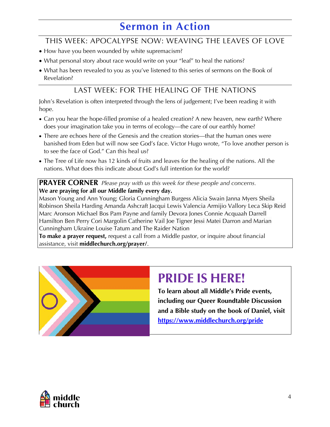## **Sermon in Action**

## THIS WEEK: APOCALYPSE NOW: WEAVING THE LEAVES OF LOVE

- How have you been wounded by white supremacism?
- What personal story about race would write on your "leaf" to heal the nations?
- What has been revealed to you as you've listened to this series of sermons on the Book of Revelation?

## LAST WEEK: FOR THE HEALING OF THE NATIONS

John's Revelation is often interpreted through the lens of judgement; I've been reading it with hope.

- Can you hear the hope-filled promise of a healed creation? A new heaven, new earth? Where does your imagination take you in terms of ecology—the care of our earthly home?
- There are echoes here of the Genesis and the creation stories—that the human ones were banished from Eden but will now see God's face. Victor Hugo wrote, "To love another person is to see the face of God." Can this heal us?
- The Tree of Life now has 12 kinds of fruits and leaves for the healing of the nations. All the nations. What does this indicate about God's full intention for the world?

**PRAYER CORNER** *Please pray with us this week for these people and concerns.* **We are praying for all our Middle family every day.**

Mason Young and Ann Young; Gloria Cunningham Burgess Alicia Swain Janna Myers Sheila [Robinson Sheila Harding Amanda Ashcraft Jacqui Lewis Valencia Armijio Vallory Leca Skip Reid](https://www.middlechurch.org/prayer/)  Marc Aronson Michael Bos Pam Payne and family Devora Jones Connie Acquaah Darrell Hamilton Ben Perry Cori Margolin Catherine Vail Joe Tigner Jessi Matei Darron and Marian Cunningham Ukraine Louise Tatum and The Raider Nation

**To make a prayer request,** request a call from a Middle pastor, or inquire about financial assistance, visit **middlechurch.org/prayer/**.



## **PRIDE IS HERE!**

**To learn about all Middle's Pride events, including our Queer Roundtable Discussion [and a Bible study on the book of Daniel, visit](https://www.middlechurch.org/pride-2022-at-middle-church/)  https://www.middlechurch.org/pride**

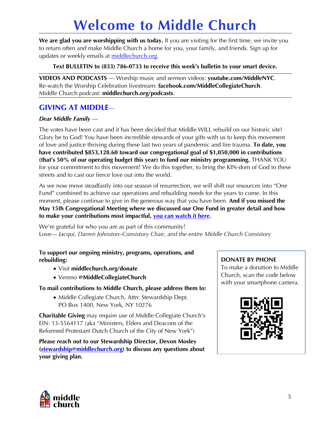# **[Welcome to Middle Church](https://www.middlechurch.org)**

**We are glad you are worshipping with us today.** If you are visiting for the first time, we invite you to return often and make Middle Church a home for you, your family, and friends. Sign up for updates or weekly emails at middlechurch.org.

**Text BULLETIN to (833) 786-0733 to receive this week's bulletin to your smart device.**

**VIDEOS AND PODCASTS** — Worship music and sermon videos: **youtube.com/MiddleNYC**. Re-watch the Worship Celebration livestream: **facebook.com/MiddleCollegiateChurch**. Middle Church podcast: **middlechurch.org/podcasts**.

## **GIVING AT MIDDLE**—

### *Dear Middle Family* —

The votes have been cast and it has been decided that Middle WILL rebuild on our historic site! Glory be to God! You have been incredible stewards of your gifts with us to keep this movement of love and justice thriving during these last two years of pandemic and fire trauma. **To date, you have contributed \$853,128.60 toward our congregational goal of \$1,050,000 in contributions (that's 50% of our operating budget this year) to fund our ministry programming.** THANK YOU for your commitment to this movement! We do this together, to bring the KIN-dom of God to these streets and to cast our fierce love out into the world.

[As we now move steadfastly into our season of resurrection, we will shift our resources into "One](https://www.youtube.com/watch?v=M4Hd0slsJZI)  Fund" combined to achieve our operations and rebuilding needs for the years to come. In this moment, please continue to give in the generous way that you have been. **And if you missed the May 15th Congregational Meeting where we discussed our One Fund in greater detail and how to make your contributions most impactful, you can watch it here.**

We're grateful for who you are as part of this community! Love— *Jacqui, Darren Johnston–Consistory Chair, and the entire Middle Church Consistory*

#### **[To support our ongoing ministry, programs, operations, and](https://www.middlechurch.org/donate/)  rebuilding:**

- Visit **middlechurch.org/donate**
- Venmo **@MiddleCollegiateChurch**

**To mail contributions to Middle Church, please address them to:**

• Middle Collegiate Church, Attn: Stewardship Dept. PO Box 1400, New York, NY 10276

**Charitable Giving** may require use of Middle Collegiate Church's EIN: 13-5564117 (aka "Ministers, Elders and Deacons of the Reformed Protestant Dutch Church of the City of New York")

**[Please reach out to our Stewardship Director, Devon Mosley](mailto:stewardship@middlechurch.org)  (stewardship@middlechurch.org) to discuss any questions about your giving plan.** 

### **DONATE BY PHONE**

To make a donation to Middle Church, scan the code below with your smartphone camera.